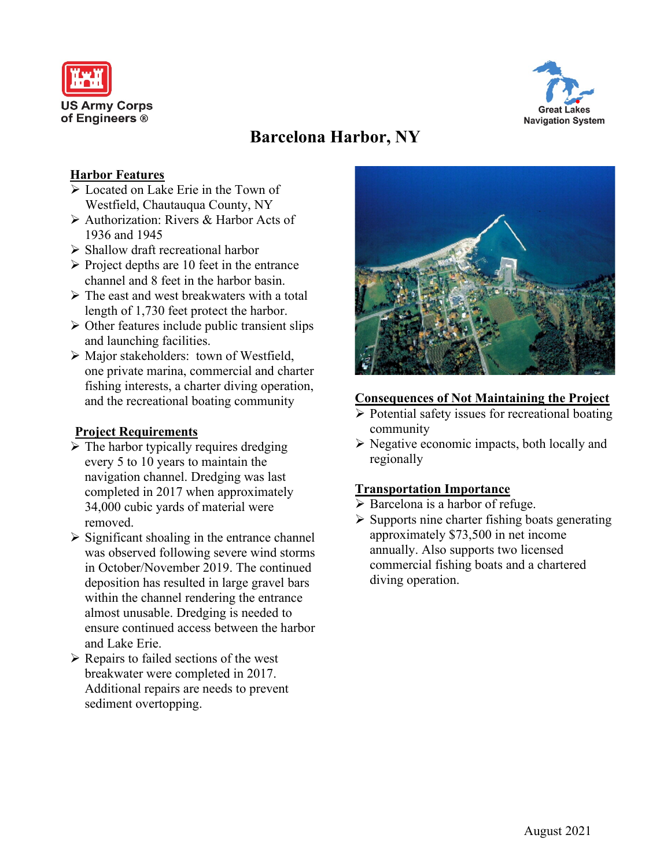



# **Barcelona Harbor, NY**

# **Harbor Features**

- Located on Lake Erie in the Town of Westfield, Chautauqua County, NY
- Authorization: Rivers & Harbor Acts of 1936 and 1945
- $\triangleright$  Shallow draft recreational harbor
- $\triangleright$  Project depths are 10 feet in the entrance channel and 8 feet in the harbor basin.
- $\triangleright$  The east and west breakwaters with a total length of 1,730 feet protect the harbor.
- $\triangleright$  Other features include public transient slips and launching facilities.
- Major stakeholders: town of Westfield, one private marina, commercial and charter fishing interests, a charter diving operation, and the recreational boating community

# **Project Requirements**

- $\triangleright$  The harbor typically requires dredging every 5 to 10 years to maintain the navigation channel. Dredging was last completed in 2017 when approximately 34,000 cubic yards of material were removed.
- $\triangleright$  Significant shoaling in the entrance channel was observed following severe wind storms in October/November 2019. The continued deposition has resulted in large gravel bars within the channel rendering the entrance almost unusable. Dredging is needed to ensure continued access between the harbor and Lake Erie.
- $\triangleright$  Repairs to failed sections of the west breakwater were completed in 2017. Additional repairs are needs to prevent sediment overtopping.



#### **Consequences of Not Maintaining the Project**

- $\triangleright$  Potential safety issues for recreational boating community
- $\triangleright$  Negative economic impacts, both locally and regionally

## **Transportation Importance**

- $\triangleright$  Barcelona is a harbor of refuge.
- $\triangleright$  Supports nine charter fishing boats generating approximately \$73,500 in net income annually. Also supports two licensed commercial fishing boats and a chartered diving operation.